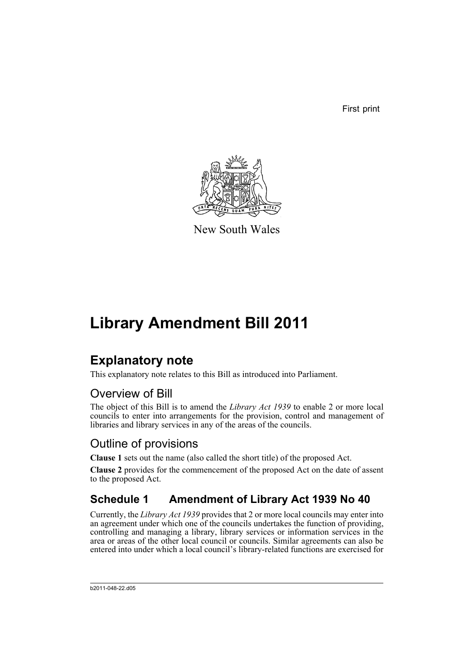First print



New South Wales

# **Library Amendment Bill 2011**

### **Explanatory note**

This explanatory note relates to this Bill as introduced into Parliament.

#### Overview of Bill

The object of this Bill is to amend the *Library Act 1939* to enable 2 or more local councils to enter into arrangements for the provision, control and management of libraries and library services in any of the areas of the councils.

#### Outline of provisions

**Clause 1** sets out the name (also called the short title) of the proposed Act.

**Clause 2** provides for the commencement of the proposed Act on the date of assent to the proposed Act.

### **Schedule 1 Amendment of Library Act 1939 No 40**

Currently, the *Library Act 1939* provides that 2 or more local councils may enter into an agreement under which one of the councils undertakes the function of providing, controlling and managing a library, library services or information services in the area or areas of the other local council or councils. Similar agreements can also be entered into under which a local council's library-related functions are exercised for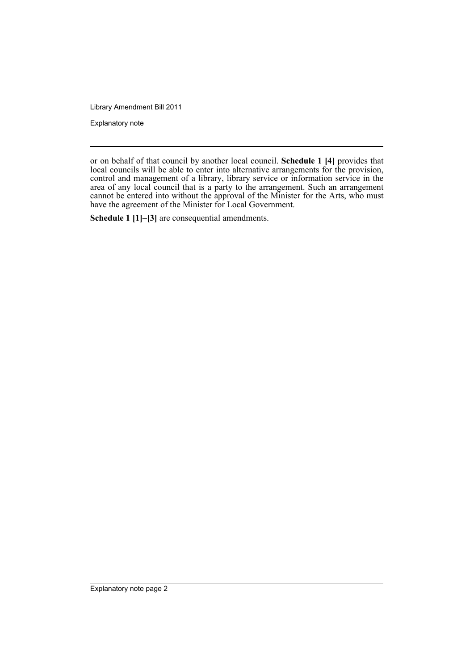Library Amendment Bill 2011

Explanatory note

**Schedule 1 [1]–[3]** are consequential amendments.

or on behalf of that council by another local council. **Schedule 1 [4]** provides that local councils will be able to enter into alternative arrangements for the provision, control and management of a library, library service or information service in the area of any local council that is a party to the arrangement. Such an arrangement cannot be entered into without the approval of the Minister for the Arts, who must have the agreement of the Minister for Local Government.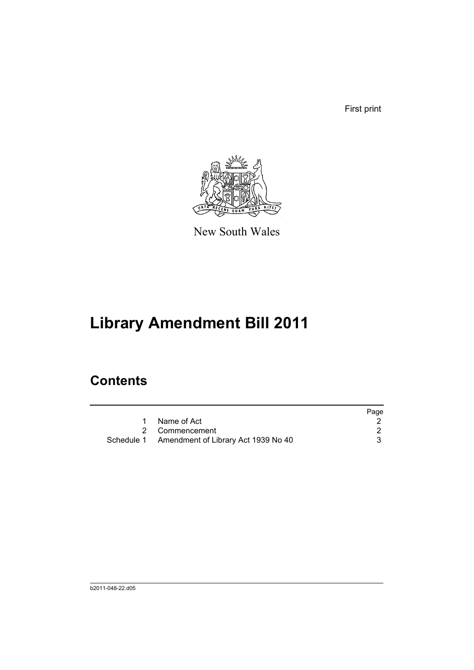First print



New South Wales

# **Library Amendment Bill 2011**

### **Contents**

|                                                | Page |
|------------------------------------------------|------|
| Name of Act                                    |      |
| 2 Commencement                                 |      |
| Schedule 1 Amendment of Library Act 1939 No 40 |      |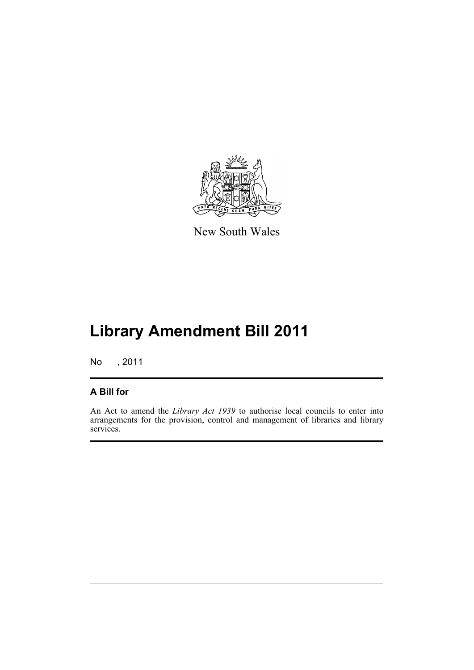

New South Wales

## **Library Amendment Bill 2011**

No , 2011

#### **A Bill for**

An Act to amend the *Library Act 1939* to authorise local councils to enter into arrangements for the provision, control and management of libraries and library services.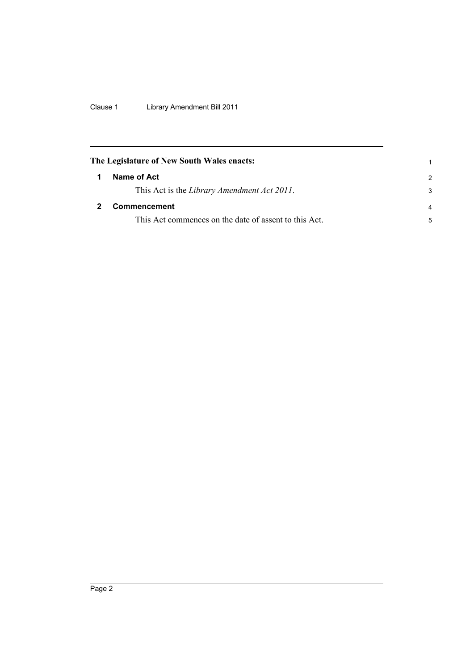Clause 1 Library Amendment Bill 2011

<span id="page-5-1"></span><span id="page-5-0"></span>

|   | The Legislature of New South Wales enacts:            |   |
|---|-------------------------------------------------------|---|
| 1 | Name of Act                                           | 2 |
|   | This Act is the Library Amendment Act 2011.           | 3 |
|   | Commencement                                          |   |
|   | This Act commences on the date of assent to this Act. | 5 |
|   |                                                       |   |